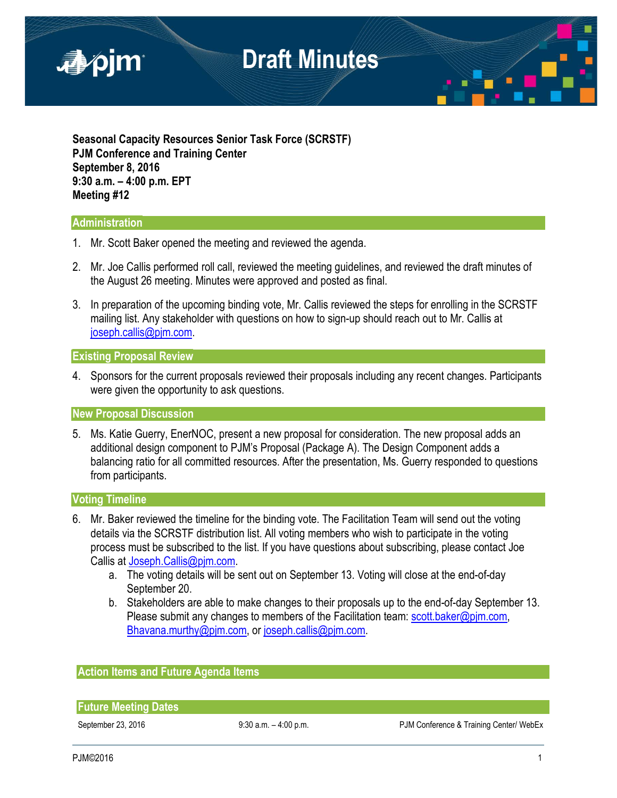

**Seasonal Capacity Resources Senior Task Force (SCRSTF) PJM Conference and Training Center September 8, 2016 9:30 a.m. – 4:00 p.m. EPT Meeting #12**

### **Administration**

- 1. Mr. Scott Baker opened the meeting and reviewed the agenda.
- 2. Mr. Joe Callis performed roll call, reviewed the meeting guidelines, and reviewed the draft minutes of the August 26 meeting. Minutes were approved and posted as final.
- 3. In preparation of the upcoming binding vote, Mr. Callis reviewed the steps for enrolling in the SCRSTF mailing list. Any stakeholder with questions on how to sign-up should reach out to Mr. Callis at [joseph.callis@pjm.com.](mailto:joseph.callis@pjm.com)

#### **Existing Proposal Review**

4. Sponsors for the current proposals reviewed their proposals including any recent changes. Participants were given the opportunity to ask questions.

**New Proposal Discussion**

5. Ms. Katie Guerry, EnerNOC, present a new proposal for consideration. The new proposal adds an additional design component to PJM's Proposal (Package A). The Design Component adds a balancing ratio for all committed resources. After the presentation, Ms. Guerry responded to questions from participants.

### **Voting Timeline**

- 6. Mr. Baker reviewed the timeline for the binding vote. The Facilitation Team will send out the voting details via the SCRSTF distribution list. All voting members who wish to participate in the voting process must be subscribed to the list. If you have questions about subscribing, please contact Joe Callis a[t Joseph.Callis@pjm.com.](mailto:Joseph.Callis@pjm.com)
	- a. The voting details will be sent out on September 13. Voting will close at the end-of-day September 20.
	- b. Stakeholders are able to make changes to their proposals up to the end-of-day September 13. Please submit any changes to members of the Facilitation team: scott.baker@pim.com, [Bhavana.murthy@pjm.com,](mailto:Bhavana.murthy@pjm.com) or [joseph.callis@pjm.com.](mailto:joseph.callis@pjm.com)

### **Action Items and Future Agenda Items**

**Future Meeting Dates**

September 23, 2016 9:30 a.m. - 4:00 p.m. PJM Conference & Training Center/ WebEx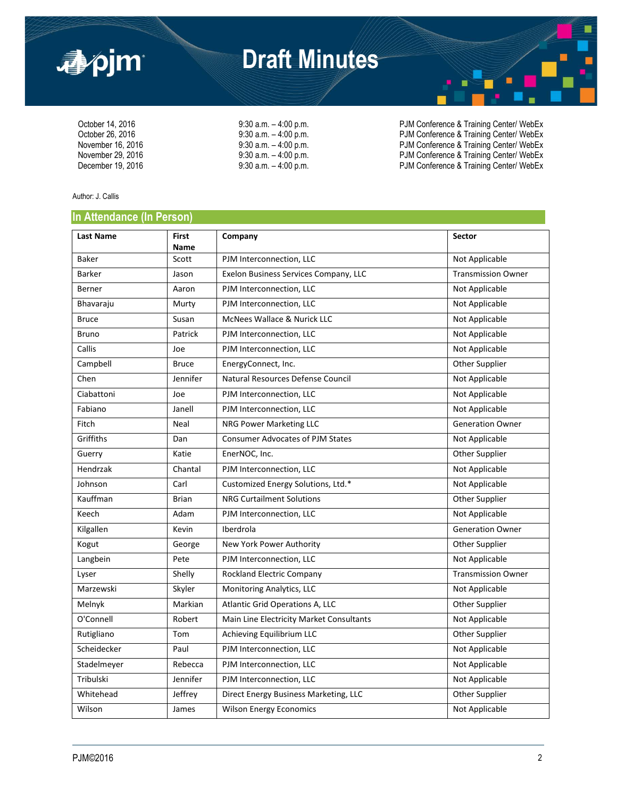

### **Draft Minutes**

| 9:30 a.m. – 4:00 p.m. |  |
|-----------------------|--|
| 9:30 a.m. – 4:00 p.m. |  |
| 9:30 a.m. – 4:00 p.m. |  |
| 9:30 a.m. – 4:00 p.m. |  |
| 9:30 a.m. – 4:00 p.m. |  |

October 14, 2016 <br>October 26, 2016 **9:30 a.m.** – 4:00 p.m. PJM Conference & Training Center/ WebEx<br>PJM Conference & Training Center/ WebEx October 26, 2016 9:30 a.m. – 4:00 p.m.<br>
9:30 a.m. – 4:00 p.m. PJM Conference & Training Center/ WebEx<br>
PJM Conference & Training Center/ WebEx November 16, 2016 9:30 a.m. – 4:00 p.m. PJM Conference & Training Center/ WebEx<br>November 29, 2016 9:30 a.m. – 4:00 p.m. PJM Conference & Training Center/ WebEx November 29, 2016 9:30 a.m. – 4:00 p.m. PJM Conference & Training Center/ WebEx<br>December 19, 2016 9:30 a.m. – 4:00 p.m. PJM Conference & Training Center/ WebEx PJM Conference & Training Center/ WebEx

Author: J. Callis

### **In Attendance (In Person)**

| <b>Last Name</b> | <b>First</b><br>Name | Company                                  | Sector                    |
|------------------|----------------------|------------------------------------------|---------------------------|
| <b>Baker</b>     | Scott                | PJM Interconnection, LLC                 | Not Applicable            |
| <b>Barker</b>    | Jason                | Exelon Business Services Company, LLC    | <b>Transmission Owner</b> |
| Berner           | Aaron                | PJM Interconnection, LLC                 | Not Applicable            |
| Bhavaraju        | Murty                | PJM Interconnection, LLC                 | Not Applicable            |
| <b>Bruce</b>     | Susan                | McNees Wallace & Nurick LLC              | Not Applicable            |
| <b>Bruno</b>     | Patrick              | PJM Interconnection, LLC                 | Not Applicable            |
| Callis           | Joe                  | PJM Interconnection, LLC                 | Not Applicable            |
| Campbell         | <b>Bruce</b>         | EnergyConnect, Inc.                      | Other Supplier            |
| Chen             | Jennifer             | Natural Resources Defense Council        | Not Applicable            |
| Ciabattoni       | Joe                  | PJM Interconnection, LLC                 | Not Applicable            |
| Fabiano          | Janell               | PJM Interconnection, LLC                 | Not Applicable            |
| Fitch            | Neal                 | NRG Power Marketing LLC                  | <b>Generation Owner</b>   |
| Griffiths        | Dan                  | <b>Consumer Advocates of PJM States</b>  | Not Applicable            |
| Guerry           | Katie                | EnerNOC, Inc.                            | Other Supplier            |
| Hendrzak         | Chantal              | PJM Interconnection, LLC                 | Not Applicable            |
| Johnson          | Carl                 | Customized Energy Solutions, Ltd.*       | Not Applicable            |
| Kauffman         | <b>Brian</b>         | <b>NRG Curtailment Solutions</b>         | <b>Other Supplier</b>     |
| Keech            | Adam                 | PJM Interconnection, LLC                 | Not Applicable            |
| Kilgallen        | Kevin                | Iberdrola                                | <b>Generation Owner</b>   |
| Kogut            | George               | New York Power Authority                 | Other Supplier            |
| Langbein         | Pete                 | PJM Interconnection, LLC                 | Not Applicable            |
| Lyser            | Shelly               | Rockland Electric Company                | <b>Transmission Owner</b> |
| Marzewski        | Skyler               | Monitoring Analytics, LLC                | Not Applicable            |
| Melnyk           | Markian              | Atlantic Grid Operations A, LLC          | Other Supplier            |
| O'Connell        | Robert               | Main Line Electricity Market Consultants | Not Applicable            |
| Rutigliano       | Tom                  | Achieving Equilibrium LLC                | Other Supplier            |
| Scheidecker      | Paul                 | PJM Interconnection, LLC                 | Not Applicable            |
| Stadelmeyer      | Rebecca              | PJM Interconnection, LLC                 | Not Applicable            |
| Tribulski        | Jennifer             | PJM Interconnection, LLC                 | Not Applicable            |
| Whitehead        | Jeffrey              | Direct Energy Business Marketing, LLC    | Other Supplier            |
| Wilson           | James                | <b>Wilson Energy Economics</b>           | Not Applicable            |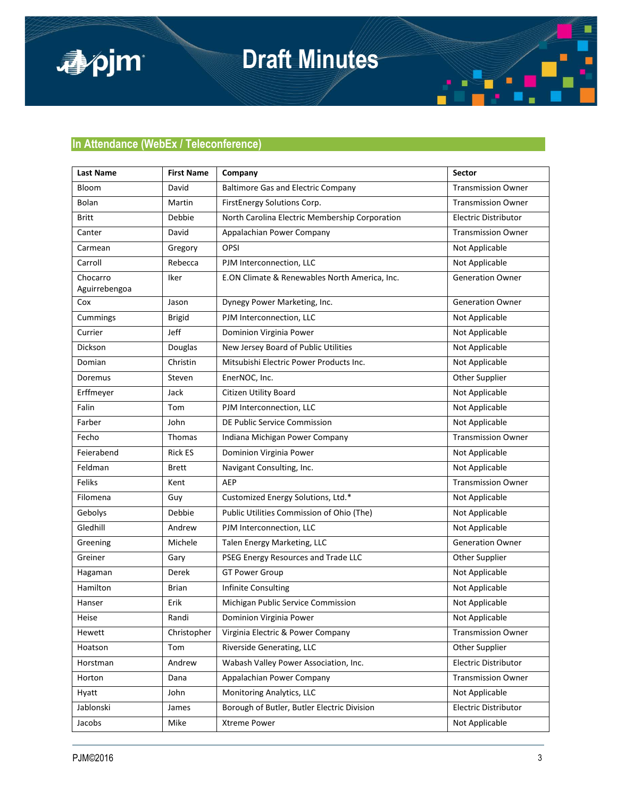

# **Draft Minutes**



| <b>Last Name</b> | <b>First Name</b> | Company                                        | Sector                      |
|------------------|-------------------|------------------------------------------------|-----------------------------|
| Bloom            | David             | <b>Baltimore Gas and Electric Company</b>      | <b>Transmission Owner</b>   |
| Bolan            | Martin            | FirstEnergy Solutions Corp.                    | <b>Transmission Owner</b>   |
| <b>Britt</b>     | Debbie            | North Carolina Electric Membership Corporation | <b>Electric Distributor</b> |
| Canter           | David             | Appalachian Power Company                      | <b>Transmission Owner</b>   |
| Carmean          | Gregory           | <b>OPSI</b>                                    | Not Applicable              |
| Carroll          | Rebecca           | PJM Interconnection, LLC                       | Not Applicable              |
| Chocarro         | Iker              | E.ON Climate & Renewables North America, Inc.  | <b>Generation Owner</b>     |
| Aguirrebengoa    |                   |                                                |                             |
| Cox              | Jason             | Dynegy Power Marketing, Inc.                   | <b>Generation Owner</b>     |
| Cummings         | <b>Brigid</b>     | PJM Interconnection, LLC                       | Not Applicable              |
| Currier          | Jeff              | Dominion Virginia Power                        | Not Applicable              |
| Dickson          | Douglas           | New Jersey Board of Public Utilities           | Not Applicable              |
| Domian           | Christin          | Mitsubishi Electric Power Products Inc.        | Not Applicable              |
| Doremus          | Steven            | EnerNOC, Inc.                                  | Other Supplier              |
| Erffmeyer        | Jack              | Citizen Utility Board                          | Not Applicable              |
| Falin            | Tom               | PJM Interconnection, LLC                       | Not Applicable              |
| Farber           | John              | DE Public Service Commission                   | Not Applicable              |
| Fecho            | Thomas            | Indiana Michigan Power Company                 | <b>Transmission Owner</b>   |
| Feierabend       | <b>Rick ES</b>    | Dominion Virginia Power                        | Not Applicable              |
| Feldman          | <b>Brett</b>      | Navigant Consulting, Inc.                      | Not Applicable              |
| Feliks           | Kent              | AEP                                            | <b>Transmission Owner</b>   |
| Filomena         | Guy               | Customized Energy Solutions, Ltd.*             | Not Applicable              |
| Gebolys          | Debbie            | Public Utilities Commission of Ohio (The)      | Not Applicable              |
| Gledhill         | Andrew            | PJM Interconnection, LLC                       | Not Applicable              |
| Greening         | Michele           | Talen Energy Marketing, LLC                    | <b>Generation Owner</b>     |
| Greiner          | Gary              | PSEG Energy Resources and Trade LLC            | Other Supplier              |
| Hagaman          | Derek             | <b>GT Power Group</b>                          | Not Applicable              |
| Hamilton         | <b>Brian</b>      | Infinite Consulting                            | Not Applicable              |
| Hanser           | Erik              | Michigan Public Service Commission             | Not Applicable              |
| Heise            | Randi             | Dominion Virginia Power                        | Not Applicable              |
| Hewett           | Christopher       | Virginia Electric & Power Company              | <b>Transmission Owner</b>   |
| Hoatson          | Tom               | Riverside Generating, LLC                      | Other Supplier              |
| Horstman         | Andrew            | Wabash Valley Power Association, Inc.          | Electric Distributor        |
| Horton           | Dana              | Appalachian Power Company                      | <b>Transmission Owner</b>   |
| Hyatt            | John              | Monitoring Analytics, LLC                      | Not Applicable              |
| Jablonski        | James             | Borough of Butler, Butler Electric Division    | Electric Distributor        |
| Jacobs           | Mike              | <b>Xtreme Power</b>                            | Not Applicable              |